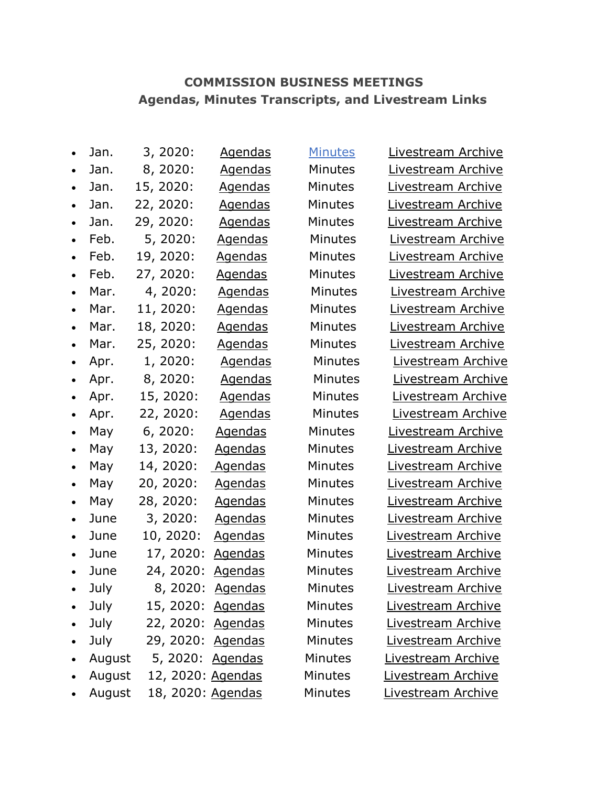## **COMMISSION BUSINESS MEETINGS Agendas, Minutes Transcripts, and Livestream Links**

| $\bullet$ | Jan.   | 3, 2020:          | <u>Agendas</u> | <b>Minutes</b> |
|-----------|--------|-------------------|----------------|----------------|
| $\bullet$ | Jan.   | 8, 2020:          | <b>Agendas</b> | Minutes        |
| $\bullet$ | Jan.   | 15, 2020:         | <b>Agendas</b> | Minutes        |
| $\bullet$ | Jan.   | 22, 2020:         | <b>Agendas</b> | Minutes        |
| $\bullet$ | Jan.   | 29, 2020:         | <u>Agendas</u> | Minutes        |
| $\bullet$ | Feb.   | 5, 2020:          | <u>Agendas</u> | <b>Minutes</b> |
| $\bullet$ | Feb.   | 19, 2020:         | <u>Agendas</u> | Minutes        |
| $\bullet$ | Feb.   | 27, 2020:         | <b>Agendas</b> | Minutes        |
| $\bullet$ | Mar.   | 4, 2020:          | <u>Agendas</u> | Minute:        |
| $\bullet$ | Mar.   | 11, 2020:         | <u>Agendas</u> | <b>Minutes</b> |
| $\bullet$ | Mar.   | 18, 2020:         | <b>Agendas</b> | <b>Minutes</b> |
| $\bullet$ | Mar.   | 25, 2020:         | <u>Agendas</u> | <b>Minutes</b> |
| $\bullet$ | Apr.   | 1, 2020:          | <b>Agendas</b> | Minute         |
| $\bullet$ | Apr.   | 8, 2020:          | <b>Agendas</b> | Minute         |
| $\bullet$ | Apr.   | 15, 2020:         | <b>Agendas</b> | Minute         |
| $\bullet$ | Apr.   | 22, 2020:         | <b>Agendas</b> | Minute         |
| $\bullet$ | May    | 6, 2020:          | <u>Agendas</u> | Minutes        |
| $\bullet$ | May    | 13, 2020:         | <u>Agendas</u> | Minutes        |
| $\bullet$ | May    | 14, 2020:         | <u>Agendas</u> | Minutes        |
| $\bullet$ | May    | 20, 2020:         | <u>Agendas</u> | Minutes        |
| $\bullet$ | May    | 28, 2020:         | <u>Agendas</u> | Minutes        |
| $\bullet$ | June   | 3, 2020:          | <u>Agendas</u> | Minutes        |
| $\bullet$ | June   | 10, 2020:         | <b>Agendas</b> | Minutes        |
| $\bullet$ | June   | 17, 2020:         | <u>Agendas</u> | Minutes        |
| $\bullet$ | June   | 24, 2020:         | Agendas        | Minutes        |
| $\bullet$ | July   | 8, 2020:          | Agendas        | Minutes        |
|           | July   | 15, 2020: Agendas |                | Minutes        |
|           | July   | 22, 2020: Agendas |                | Minutes        |
|           | July   | 29, 2020: Agendas |                | Minutes        |
| $\bullet$ | August | 5, 2020: Agendas  |                | Minutes        |
| $\bullet$ | August | 12, 2020: Agendas |                | <b>Minutes</b> |
| $\bullet$ | August | 18, 2020: Agendas |                | Minutes        |

s [Livestream Archive](https://cdnapisec.kaltura.com/index.php/extwidget/preview/partner_id/954571/uiconf_id/35803241/entry_id/1_7n8xrzv7/embed/dynamic) s bivestream Archive s [Livestream Archive](https://cdnapisec.kaltura.com/index.php/extwidget/preview/partner_id/954571/uiconf_id/35803241/entry_id/1_tbsxltse/embed/dynamic) s [Livestream Archive](https://cdnapisec.kaltura.com/index.php/extwidget/preview/partner_id/954571/uiconf_id/35803241/entry_id/1_d8nzbbim/embed/dynamic) s [Livestream Archive](https://cdnapisec.kaltura.com/index.php/extwidget/preview/partner_id/954571/uiconf_id/35803241/entry_id/1_pcqqtoln/embed/dynamic) s **[Livestream Archive](https://cdnapisec.kaltura.com/index.php/extwidget/preview/partner_id/954571/uiconf_id/35803241/entry_id/1_tq2nulym/embed/dynamic)** s [Livestream Archive](https://cdnapisec.kaltura.com/index.php/extwidget/preview/partner_id/954571/uiconf_id/35803241/entry_id/1_vqvtz7al/embed/dynamic) s [Livestream Archive](https://cdnapisec.kaltura.com/index.php/extwidget/preview/partner_id/954571/uiconf_id/35803241/entry_id/0_0lbc5j74/embed/dynamic) s [Livestream Archive](https://cdnapisec.kaltura.com/index.php/extwidget/preview/partner_id/954571/uiconf_id/35803241/entry_id/1_ue18edxg/embed/dynamic) s [Livestream Archive](https://cdnapisec.kaltura.com/index.php/extwidget/preview/partner_id/954571/uiconf_id/35803241/entry_id/1_9055p1z0/embed/dynamic) s [Livestream Archive](https://cdnapisec.kaltura.com/index.php/extwidget/preview/partner_id/954571/uiconf_id/35803241/entry_id/1_zsg0wy92/embed/dynamic) s [Livestream Archive](https://cdnapisec.kaltura.com/index.php/extwidget/preview/partner_id/954571/uiconf_id/35803241/entry_id/1_oc42fcxk/embed/dynamic) es [Livestream Archive](https://cdnapisec.kaltura.com/index.php/extwidget/preview/partner_id/954571/uiconf_id/35803241/entry_id/1_vk3g1k50/embed/dynamic) es [Livestream Archive](https://cdnapisec.kaltura.com/index.php/extwidget/preview/partner_id/954571/uiconf_id/35803241/entry_id/1_mkx6mtwh/embed/dynamic) es [Livestream Archive](https://cdnapisec.kaltura.com/index.php/extwidget/preview/partner_id/954571/uiconf_id/35803241/entry_id/1_iogxrqgd/embed/dynamic) es [Livestream Archive](https://cdnapisec.kaltura.com/index.php/extwidget/preview/partner_id/954571/uiconf_id/35803241/entry_id/1_62knpl3c/embed/dynamic) s bivestream Archive  $\mathsf{S}$  [Livestream Archive](https://cdnapisec.kaltura.com/index.php/extwidget/preview/partner_id/954571/uiconf_id/35803241/entry_id/1_qg3bgobg/embed/dynamic) s [Livestream Archive](https://cdnapisec.kaltura.com/index.php/extwidget/preview/partner_id/954571/uiconf_id/35803241/entry_id/1_gym5962y/embed/dynamic) s [Livestream Archive](https://cdnapisec.kaltura.com/index.php/extwidget/preview/partner_id/954571/uiconf_id/35803241/entry_id/1_csgpl4el/embed/dynamic) s [Livestream Archive](https://cdnapisec.kaltura.com/index.php/extwidget/preview/partner_id/954571/uiconf_id/35803241/entry_id/1_xbsz53aw/embed/dynamic) s [Livestream Archive](https://cdnapisec.kaltura.com/index.php/extwidget/preview/partner_id/954571/uiconf_id/35803241/entry_id/1_m6uxqt51/embed/dynamic) [Livestream Archive](https://cdnapisec.kaltura.com/index.php/extwidget/preview/partner_id/954571/uiconf_id/35803241/entry_id/1_07afygfj/embed/dynamic) [Livestream Archive](https://cdnapisec.kaltura.com/index.php/extwidget/preview/partner_id/954571/uiconf_id/35803241/entry_id/1_l32xpu6a/embed/dynamic) [Livestream Archive](https://cdnapisec.kaltura.com/index.php/extwidget/preview/partner_id/954571/uiconf_id/35803241/entry_id/1_ahqlexux/embed/dynamic) s [Livestream Archive](https://cdnapisec.kaltura.com/index.php/extwidget/preview/partner_id/954571/uiconf_id/35803241/entry_id/1_0aonfwgz/embed/dynamic) [Livestream Archive](https://cdnapisec.kaltura.com/index.php/extwidget/preview/partner_id/954571/uiconf_id/35803241/entry_id/1_3m3v9i22/embed/dynamic) [Livestream Archive](https://cdnapisec.kaltura.com/index.php/extwidget/preview/partner_id/954571/uiconf_id/35803241/entry_id/1_ghod4abx/embed/dynamic) [Livestream Archive](https://cdnapisec.kaltura.com/index.php/extwidget/preview/partner_id/954571/uiconf_id/35803241/entry_id/1_ostjuqow/embed/dynamic) [Livestream Archive](https://cdnapisec.kaltura.com/index.php/extwidget/preview/partner_id/954571/uiconf_id/35803241/entry_id/1_cy2uym68/embed/dynamic) **[Livestream Archive](https://cdnapisec.kaltura.com/index.php/extwidget/preview/partner_id/954571/uiconf_id/35803241/entry_id/1_8h74e49g/embed/dynamic)** [Livestream Archive](https://cdnapisec.kaltura.com/index.php/extwidget/preview/partner_id/954571/uiconf_id/35803241/entry_id/0_v8quqk68/embed/dynamic)